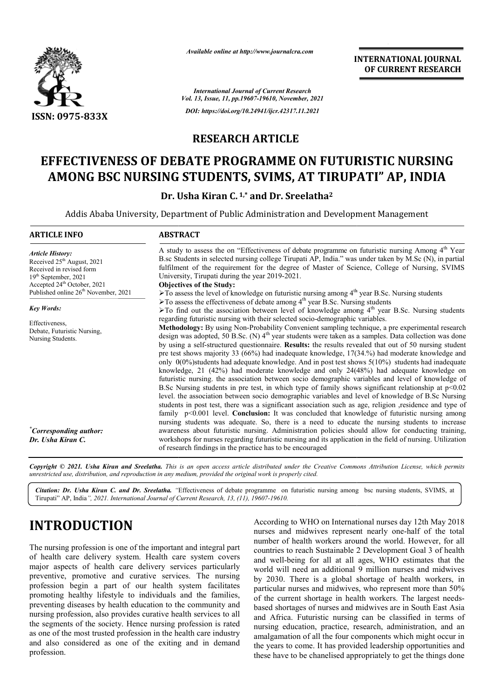

*Available online at http://www.journalcra.com*

### **RESEARCH ARTICLE**

# **EFFECTIVENESS OF DEBATE PROGRAMME ON FUTURISTIC NURSING**  FFECTIVENESS OF DEBATE PROGRAMME ON FUTURISTIC NURSIN<br>AMONG BSC NURSING STUDENTS, SVIMS, AT TIRUPATI" AP, INDIA

|                                                                                                                                                                                                                                                                                                                                                                                                                                                                                                                                                                                                                                                                                                                                            |                                                                                                                                                                                                                                                                                                                                                                                | unuvic viime ui nup.//www.jvurnuicru.com<br><b>INTERNATIONAL JOURNAL</b><br>OF CURRENT RESEARCH                                                                                                                                                                                                                                                                                                                                                                                                                                                                                                                                                                                                                                                                                                                                                                                                                                                                                                                                                                                                                                                                                                                                                                                                                                                                                                                                                            |  |  |  |  |
|--------------------------------------------------------------------------------------------------------------------------------------------------------------------------------------------------------------------------------------------------------------------------------------------------------------------------------------------------------------------------------------------------------------------------------------------------------------------------------------------------------------------------------------------------------------------------------------------------------------------------------------------------------------------------------------------------------------------------------------------|--------------------------------------------------------------------------------------------------------------------------------------------------------------------------------------------------------------------------------------------------------------------------------------------------------------------------------------------------------------------------------|------------------------------------------------------------------------------------------------------------------------------------------------------------------------------------------------------------------------------------------------------------------------------------------------------------------------------------------------------------------------------------------------------------------------------------------------------------------------------------------------------------------------------------------------------------------------------------------------------------------------------------------------------------------------------------------------------------------------------------------------------------------------------------------------------------------------------------------------------------------------------------------------------------------------------------------------------------------------------------------------------------------------------------------------------------------------------------------------------------------------------------------------------------------------------------------------------------------------------------------------------------------------------------------------------------------------------------------------------------------------------------------------------------------------------------------------------------|--|--|--|--|
|                                                                                                                                                                                                                                                                                                                                                                                                                                                                                                                                                                                                                                                                                                                                            |                                                                                                                                                                                                                                                                                                                                                                                | <b>International Journal of Current Research</b><br>Vol. 13, Issue, 11, pp.19607-19610, November, 2021                                                                                                                                                                                                                                                                                                                                                                                                                                                                                                                                                                                                                                                                                                                                                                                                                                                                                                                                                                                                                                                                                                                                                                                                                                                                                                                                                     |  |  |  |  |
| ISSN: 0975-833X                                                                                                                                                                                                                                                                                                                                                                                                                                                                                                                                                                                                                                                                                                                            |                                                                                                                                                                                                                                                                                                                                                                                | DOI: https://doi.org/10.24941/ijcr.42317.11.2021                                                                                                                                                                                                                                                                                                                                                                                                                                                                                                                                                                                                                                                                                                                                                                                                                                                                                                                                                                                                                                                                                                                                                                                                                                                                                                                                                                                                           |  |  |  |  |
|                                                                                                                                                                                                                                                                                                                                                                                                                                                                                                                                                                                                                                                                                                                                            |                                                                                                                                                                                                                                                                                                                                                                                |                                                                                                                                                                                                                                                                                                                                                                                                                                                                                                                                                                                                                                                                                                                                                                                                                                                                                                                                                                                                                                                                                                                                                                                                                                                                                                                                                                                                                                                            |  |  |  |  |
|                                                                                                                                                                                                                                                                                                                                                                                                                                                                                                                                                                                                                                                                                                                                            | <b>RESEARCH ARTICLE</b>                                                                                                                                                                                                                                                                                                                                                        |                                                                                                                                                                                                                                                                                                                                                                                                                                                                                                                                                                                                                                                                                                                                                                                                                                                                                                                                                                                                                                                                                                                                                                                                                                                                                                                                                                                                                                                            |  |  |  |  |
|                                                                                                                                                                                                                                                                                                                                                                                                                                                                                                                                                                                                                                                                                                                                            |                                                                                                                                                                                                                                                                                                                                                                                | EFFECTIVENESS OF DEBATE PROGRAMME ON FUTURISTIC NURSING<br>AMONG BSC NURSING STUDENTS, SVIMS, AT TIRUPATI" AP, INDIA                                                                                                                                                                                                                                                                                                                                                                                                                                                                                                                                                                                                                                                                                                                                                                                                                                                                                                                                                                                                                                                                                                                                                                                                                                                                                                                                       |  |  |  |  |
|                                                                                                                                                                                                                                                                                                                                                                                                                                                                                                                                                                                                                                                                                                                                            | Dr. Usha Kiran C. <sup>1,*</sup> and Dr. Sreelatha <sup>2</sup>                                                                                                                                                                                                                                                                                                                |                                                                                                                                                                                                                                                                                                                                                                                                                                                                                                                                                                                                                                                                                                                                                                                                                                                                                                                                                                                                                                                                                                                                                                                                                                                                                                                                                                                                                                                            |  |  |  |  |
|                                                                                                                                                                                                                                                                                                                                                                                                                                                                                                                                                                                                                                                                                                                                            |                                                                                                                                                                                                                                                                                                                                                                                | Addis Ababa University, Department of Public Administration and Development Management                                                                                                                                                                                                                                                                                                                                                                                                                                                                                                                                                                                                                                                                                                                                                                                                                                                                                                                                                                                                                                                                                                                                                                                                                                                                                                                                                                     |  |  |  |  |
| <b>ARTICLE INFO</b>                                                                                                                                                                                                                                                                                                                                                                                                                                                                                                                                                                                                                                                                                                                        | <b>ABSTRACT</b>                                                                                                                                                                                                                                                                                                                                                                |                                                                                                                                                                                                                                                                                                                                                                                                                                                                                                                                                                                                                                                                                                                                                                                                                                                                                                                                                                                                                                                                                                                                                                                                                                                                                                                                                                                                                                                            |  |  |  |  |
| <b>Article History:</b><br>Received 25 <sup>th</sup> August, 2021<br>Received in revised form<br>19th September, 2021<br>Accepted 24 <sup>th</sup> October, 2021<br>Published online 26 <sup>th</sup> November, 2021                                                                                                                                                                                                                                                                                                                                                                                                                                                                                                                       | University, Tirupati during the year 2019-2021.<br><b>Objectives of the Study:</b>                                                                                                                                                                                                                                                                                             | A study to assess the on "Effectiveness of debate programme on futuristic nursing Among 4 <sup>th</sup> Year<br>B.sc Students in selected nursing college Tirupati AP, India." was under taken by M.Sc (N), in partial<br>fulfilment of the requirement for the degree of Master of Science, College of Nursing, SVIMS<br>$\triangleright$ To assess the level of knowledge on futuristic nursing among 4 <sup>th</sup> year B.Sc. Nursing students                                                                                                                                                                                                                                                                                                                                                                                                                                                                                                                                                                                                                                                                                                                                                                                                                                                                                                                                                                                                        |  |  |  |  |
| <b>Key Words:</b><br>Effectiveness,<br>Debate, Futuristic Nursing,<br>Nursing Students.                                                                                                                                                                                                                                                                                                                                                                                                                                                                                                                                                                                                                                                    |                                                                                                                                                                                                                                                                                                                                                                                | $\triangleright$ To assess the effectiveness of debate among 4 <sup>th</sup> year B.Sc. Nursing students<br>To find out the association between level of knowledge among $4th$ year B.Sc. Nursing students<br>regarding futuristic nursing with their selected socio-demographic variables.<br>Methodology: By using Non-Probability Convenient sampling technique, a pre experimental research<br>design was adopted, 50 B.Sc. (N) $4th$ year students were taken as a samples. Data collection was done<br>by using a self-structured questionnaire. Results: the results revealed that out of 50 nursing student<br>pre test shows majority 33 (66%) had inadequate knowledge, 17(34.%) had moderate knowledge and<br>only $0(0\%)$ students had adequate knowledge. And in post test shows $5(10\%)$ students had inadequate<br>knowledge, 21 (42%) had moderate knowledge and only 24(48%) had adequate knowledge on<br>futuristic nursing. the association between socio demographic variables and level of knowledge of<br>B.Sc Nursing students in pre test, in which type of family shows significant relationship at $p<0.02$<br>level. the association between socio demographic variables and level of knowledge of B.Sc Nursing<br>students in post test, there was a significant association such as age, religion ,residence and type of<br>family $p<0.001$ level. Conclusion: It was concluded that knowledge of futuristic nursing among |  |  |  |  |
| "Corresponding author:<br>Dr. Usha Kiran C.                                                                                                                                                                                                                                                                                                                                                                                                                                                                                                                                                                                                                                                                                                | nursing students was adequate. So, there is a need to educate the nursing students to increase<br>awareness about futuristic nursing. Administration policies should allow for conducting training,<br>workshops for nurses regarding futuristic nursing and its application in the field of nursing. Utilization<br>of research findings in the practice has to be encouraged |                                                                                                                                                                                                                                                                                                                                                                                                                                                                                                                                                                                                                                                                                                                                                                                                                                                                                                                                                                                                                                                                                                                                                                                                                                                                                                                                                                                                                                                            |  |  |  |  |
| unrestricted use, distribution, and reproduction in any medium, provided the original work is properly cited.                                                                                                                                                                                                                                                                                                                                                                                                                                                                                                                                                                                                                              |                                                                                                                                                                                                                                                                                                                                                                                | Copyright © 2021. Usha Kiran and Sreelatha. This is an open access article distributed under the Creative Commons Attribution License, which permits                                                                                                                                                                                                                                                                                                                                                                                                                                                                                                                                                                                                                                                                                                                                                                                                                                                                                                                                                                                                                                                                                                                                                                                                                                                                                                       |  |  |  |  |
| Tirupati" AP, India", 2021. International Journal of Current Research, 13, (11), 19607-19610.                                                                                                                                                                                                                                                                                                                                                                                                                                                                                                                                                                                                                                              |                                                                                                                                                                                                                                                                                                                                                                                | Citation: Dr. Usha Kiran C. and Dr. Sreelatha. "Effectiveness of debate programme on futuristic nursing among bsc nursing students, SVIMS, at                                                                                                                                                                                                                                                                                                                                                                                                                                                                                                                                                                                                                                                                                                                                                                                                                                                                                                                                                                                                                                                                                                                                                                                                                                                                                                              |  |  |  |  |
| <b>INTRODUCTION</b>                                                                                                                                                                                                                                                                                                                                                                                                                                                                                                                                                                                                                                                                                                                        |                                                                                                                                                                                                                                                                                                                                                                                | According to WHO on International nurses day 12th May 2018<br>nurses and midwives represent nearly one-half of the total                                                                                                                                                                                                                                                                                                                                                                                                                                                                                                                                                                                                                                                                                                                                                                                                                                                                                                                                                                                                                                                                                                                                                                                                                                                                                                                                   |  |  |  |  |
| The nursing profession is one of the important and integral part<br>of health care delivery system. Health care system covers<br>major aspects of health care delivery services particularly<br>preventive, promotive and curative services. The nursing<br>profession begin a part of our health system facilitates<br>promoting healthy lifestyle to individuals and the families,<br>preventing diseases by health education to the community and<br>nursing profession, also provides curative health services to all<br>the segments of the society. Hence nursing profession is rated<br>as one of the most trusted profession in the health care industry<br>and also considered as one of the exiting and in demand<br>profession. |                                                                                                                                                                                                                                                                                                                                                                                | number of health workers around the world. However, for all<br>countries to reach Sustainable 2 Development Goal 3 of health<br>and well-being for all at all ages, WHO estimates that the<br>world will need an additional 9 million nurses and midwives<br>by 2030. There is a global shortage of health workers, in<br>particular nurses and midwives, who represent more than 50%<br>of the current shortage in health workers. The largest needs-<br>based shortages of nurses and midwives are in South East Asia<br>and Africa. Futuristic nursing can be classified in terms of<br>nursing education, practice, research, administration, and an<br>amalgamation of all the four components which might occur in<br>the years to come. It has provided leadership opportunities and<br>these have to be chanelised appropriately to get the things done                                                                                                                                                                                                                                                                                                                                                                                                                                                                                                                                                                                            |  |  |  |  |

# **INTRODUCTION**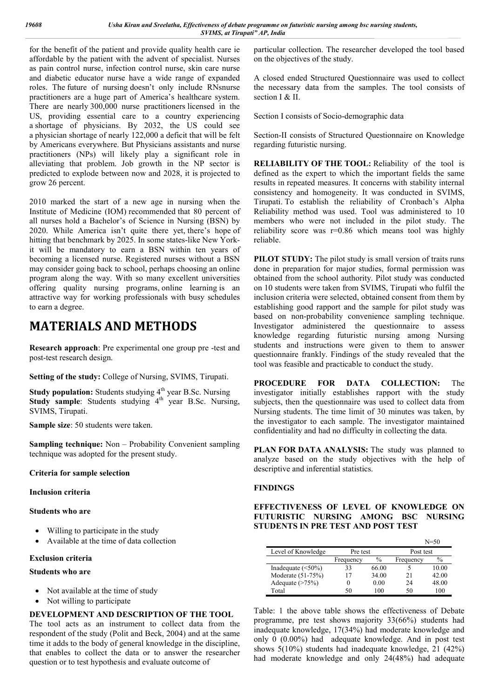for the benefit of the patient and provide quality health care ie affordable by the patient with the advent of specialist. Nurses as pain control nurse, infection control nurse, skin care nurse and diabetic educator nurse have a wide range of expanded roles. The future of nursing doesn't only include RNsnurse practitioners are a huge part of America's healthcare system. There are nearly 300,000 nurse practitioners licensed in the US, providing essential care to a country experiencing a shortage of physicians. By 2032, the US could see a physician shortage of nearly 122,000 a deficit that will be felt by Americans everywhere. But Physicians assistants and nurse practitioners (NPs) will likely play a significant role in alleviating that problem. Job growth in the NP sector is predicted to explode between now and 2028, it is projected to grow 26 percent.

2010 marked the start of a new age in nursing when the Institute of Medicine (IOM) recommended that 80 percent of all nurses hold a Bachelor's of Science in Nursing (BSN) by 2020. While America isn't quite there yet, there's hope of hitting that benchmark by 2025. In some states-like New Yorkit will be mandatory to earn a BSN within ten years of becoming a licensed nurse. Registered nurses without a BSN may consider going back to school, perhaps choosing an online program along the way. With so many excellent universities offering quality nursing programs, online learning is an attractive way for working professionals with busy schedules to earn a degree.

## **MATERIALS AND METHODS**

**Research approach**: Pre experimental one group pre -test and post-test research design.

**Setting of the study:** College of Nursing, SVIMS, Tirupati.

**Study population:** Students studying 4<sup>th</sup> year B.Sc. Nursing **Study sample:** Students studying 4<sup>th</sup> year B.Sc. Nursing, SVIMS, Tirupati.

**Sample size**: 50 students were taken.

**Sampling technique:** Non – Probability Convenient sampling technique was adopted for the present study.

#### **Criteria for sample selection**

**Inclusion criteria**

#### **Students who are**

- Willing to participate in the study
- Available at the time of data collection

#### **Exclusion criteria**

#### **Students who are**

- Not available at the time of study
- Not willing to participate

#### **DEVELOPMENT AND DESCRIPTION OF THE TOOL**

The tool acts as an instrument to collect data from the respondent of the study (Polit and Beck, 2004) and at the same time it adds to the body of general knowledge in the discipline, that enables to collect the data or to answer the researcher question or to test hypothesis and evaluate outcome of

particular collection. The researcher developed the tool based on the objectives of the study.

A closed ended Structured Questionnaire was used to collect the necessary data from the samples. The tool consists of section I & II.

Section I consists of Socio-demographic data

Section-II consists of Structured Questionnaire on Knowledge regarding futuristic nursing.

**RELIABILITY OF THE TOOL:** Reliability of the tool is defined as the expert to which the important fields the same results in repeated measures. It concerns with stability internal consistency and homogeneity. It was conducted in SVIMS, Tirupati. To establish the reliability of Cronbach's Alpha Reliability method was used. Tool was administered to 10 members who were not included in the pilot study. The reliability score was r=0.86 which means tool was highly reliable.

**PILOT STUDY:** The pilot study is small version of traits runs done in preparation for major studies, formal permission was obtained from the school authority. Pilot study was conducted on 10 students were taken from SVIMS, Tirupati who fulfil the inclusion criteria were selected, obtained consent from them by establishing good rapport and the sample for pilot study was based on non-probability convenience sampling technique. Investigator administered the questionnaire to assess knowledge regarding futuristic nursing among Nursing students and instructions were given to them to answer questionnaire frankly. Findings of the study revealed that the tool was feasible and practicable to conduct the study.

**PROCEDURE FOR DATA COLLECTION:** The investigator initially establishes rapport with the study subjects, then the questionnaire was used to collect data from Nursing students. The time limit of 30 minutes was taken, by the investigator to each sample. The investigator maintained confidentiality and had no difficulty in collecting the data.

**PLAN FOR DATA ANALYSIS:** The study was planned to analyze based on the study objectives with the help of descriptive and inferential statistics.

#### **FINDINGS**

**EFFECTIVENESS OF LEVEL OF KNOWLEDGE ON FUTURISTIC NURSING AMONG BSC NURSING STUDENTS IN PRE TEST AND POST TEST**

|                          |           |       | $N = 50$  |       |  |
|--------------------------|-----------|-------|-----------|-------|--|
| Level of Knowledge       | Pre test  |       | Post test |       |  |
|                          | Frequency | $\%$  | Frequency | $\%$  |  |
| Inadequate $(\leq 50\%)$ | 33        | 66.00 |           | 10.00 |  |
| Moderate (51-75%)        | 17        | 34.00 | 21        | 42.00 |  |
| Adequate (>75%)          |           | 0.00  | 24        | 48.00 |  |
| Total                    | 50        | 100   | 50        | 100   |  |

Table: 1 the above table shows the effectiveness of Debate programme, pre test shows majority 33(66%) students had inadequate knowledge, 17(34%) had moderate knowledge and only 0 (0.00%) had adequate knowledge. And in post test shows 5(10%) students had inadequate knowledge, 21 (42%) had moderate knowledge and only 24(48%) had adequate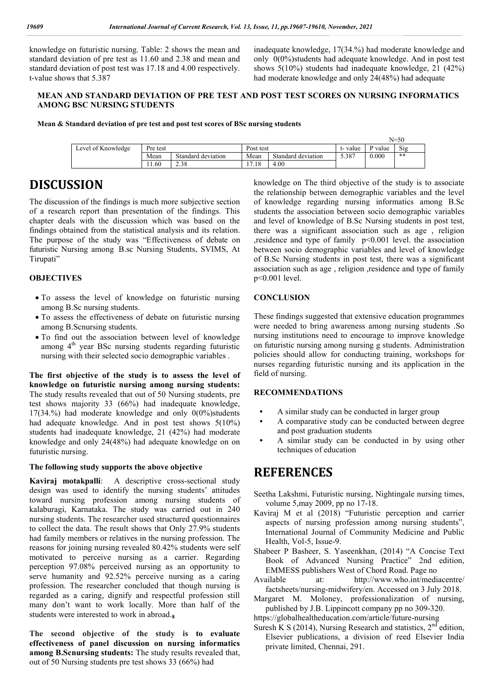knowledge on futuristic nursing. Table: 2 shows the mean and standard deviation of pre test as 11.60 and 2.38 and mean and standard deviation of post test was 17.18 and 4.00 respectively. t-value shows that 5.387

inadequate knowledge, 17(34.%) had moderate knowledge and only 0(0%)students had adequate knowledge. And in post test shows 5(10%) students had inadequate knowledge, 21 (42%) had moderate knowledge and only 24(48%) had adequate

#### **MEAN AND STANDARD DEVIATION OF PRE TEST AND POST TEST SCORES ON NURSING INFORMATICS AMONG BSC NURSING STUDENTS**

**Mean & Standard deviation of pre test and post test scores of BSc nursing students**

|                    | $N = 50$ |                    |                                          |                    |         |                    |     |
|--------------------|----------|--------------------|------------------------------------------|--------------------|---------|--------------------|-----|
| Level of Knowledge | Pre test |                    | Post test                                |                    | t-value | <sup>2</sup> value | Sig |
|                    | Mean     | Standard deviation | Mean                                     | Standard deviation | 5.387   | 0.000              | **  |
|                    | 1.60     | 2.38               | $\overline{ }$<br>1 <sup>C</sup><br>7.10 | 4.00               |         |                    |     |

### **DISCUSSION**

The discussion of the findings is much more subjective section of a research report than presentation of the findings. This chapter deals with the discussion which was based on the findings obtained from the statistical analysis and its relation. The purpose of the study was "Effectiveness of debate on futuristic Nursing among B.sc Nursing Students, SVIMS, At Tirupati"

#### **OBJECTIVES**

- To assess the level of knowledge on futuristic nursing among B.Sc nursing students.
- To assess the effectiveness of debate on futuristic nursing among B.Scnursing students.
- To find out the association between level of knowledge among  $4<sup>th</sup>$  year BSc nursing students regarding futuristic nursing with their selected socio demographic variables .

**The first objective of the study is to assess the level of knowledge on futuristic nursing among nursing students:** The study results revealed that out of 50 Nursing students, pre test shows majority 33 (66%) had inadequate knowledge, 17(34.%) had moderate knowledge and only 0(0%)students had adequate knowledge. And in post test shows 5(10%) students had inadequate knowledge, 21 (42%) had moderate knowledge and only 24(48%) had adequate knowledge on on futuristic nursing.

#### **The following study supports the above objective**

**Kaviraj motakpalli**: A descriptive cross-sectional study design was used to identify the nursing students' attitudes toward nursing profession among nursing students of kalaburagi, Karnataka. The study was carried out in 240 nursing students. The researcher used structured questionnaires to collect the data. The result shows that Only 27.9% students had family members or relatives in the nursing profession. The reasons for joining nursing revealed 80.42% students were self motivated to perceive nursing as a carrier. Regarding perception 97.08% perceived nursing as an opportunity to serve humanity and 92.52% perceive nursing as a caring profession. The researcher concluded that though nursing is regarded as a caring, dignify and respectful profession still many don't want to work locally. More than half of the students were interested to work in abroad.**<sup>8</sup>**

**The second objective of the study is to evaluate effectiveness of panel discussion on nursing informatics among B.Scnursing students:** The study results revealed that, out of 50 Nursing students pre test shows 33 (66%) had

knowledge on The third objective of the study is to associate the relationship between demographic variables and the level of knowledge regarding nursing informatics among B.Sc students the association between socio demographic variables and level of knowledge of B.Sc Nursing students in post test, there was a significant association such as age , religion ,residence and type of family p<0.001 level. the association between socio demographic variables and level of knowledge of B.Sc Nursing students in post test, there was a significant association such as age , religion ,residence and type of family p<0.001 level.

#### **CONCLUSION**

These findings suggested that extensive education programmes were needed to bring awareness among nursing students .So nursing institutions need to encourage to improve knowledge on futuristic nursing among nursing g students. Administration policies should allow for conducting training, workshops for nurses regarding futuristic nursing and its application in the field of nursing.

#### **RECOMMENDATIONS**

- **•** A similar study can be conducted in larger group
- **•** A comparative study can be conducted between degree and post graduation students
- **•** A similar study can be conducted in by using other techniques of education

### **REFERENCES**

- Seetha Lakshmi, Futuristic nursing, Nightingale nursing times, volume 5,may 2009, pp no 17-18.
- Kaviraj M et al (2018) "Futuristic perception and carrier aspects of nursing profession among nursing students", International Journal of Community Medicine and Public Health, Vol-5, Issue-9.
- Shabeer P Basheer, S. Yaseenkhan, (2014) "A Concise Text Book of Advanced Nursing Practice" 2nd edition, EMMESS publishers West of Chord Road. Page no
- Available at: http://www.who.int/mediacentre/ factsheets/nursing-midwifery/en. Accessed on 3 July 2018.
- Margaret M. Moloney, professionalization of nursing, published by J.B. Lippincott company pp no 309-320.
- https://globalhealtheducation.com/article/future-nursing
- Suresh K S (2014), Nursing Research and statistics,  $2<sup>nd</sup>$  edition, Elsevier publications, a division of reed Elsevier India private limited, Chennai, 291.